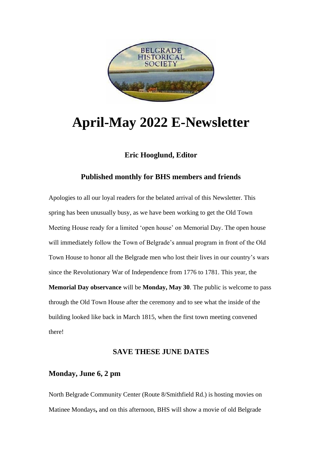

# **April-May 2022 E-Newsletter**

## **Eric Hooglund, Editor**

### **Published monthly for BHS members and friends**

Apologies to all our loyal readers for the belated arrival of this Newsletter. This spring has been unusually busy, as we have been working to get the Old Town Meeting House ready for a limited 'open house' on Memorial Day. The open house will immediately follow the Town of Belgrade's annual program in front of the Old Town House to honor all the Belgrade men who lost their lives in our country's wars since the Revolutionary War of Independence from 1776 to 1781. This year, the **Memorial Day observance** will be **Monday, May 30**. The public is welcome to pass through the Old Town House after the ceremony and to see what the inside of the building looked like back in March 1815, when the first town meeting convened there!

#### **SAVE THESE JUNE DATES**

## **Monday, June 6, 2 pm**

North Belgrade Community Center (Route 8/Smithfield Rd.) is hosting movies on Matinee Mondays**,** and on this afternoon, BHS will show a movie of old Belgrade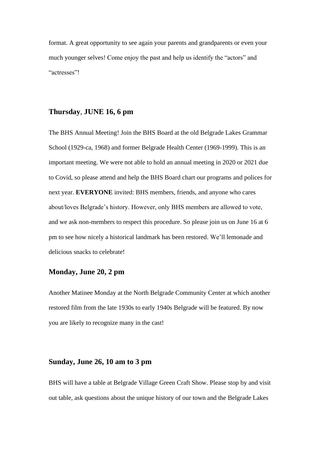format. A great opportunity to see again your parents and grandparents or even your much younger selves! Come enjoy the past and help us identify the "actors" and "actresses"!

### **Thursday**, **JUNE 16, 6 pm**

The BHS Annual Meeting! Join the BHS Board at the old Belgrade Lakes Grammar School (1929-ca, 1968) and former Belgrade Health Center (1969-1999). This is an important meeting. We were not able to hold an annual meeting in 2020 or 2021 due to Covid, so please attend and help the BHS Board chart our programs and polices for next year. **EVERYONE** invited: BHS members, friends, and anyone who cares about/loves Belgrade's history. However, only BHS members are allowed to vote, and we ask non-members to respect this procedure. So please join us on June 16 at 6 pm to see how nicely a historical landmark has been restored. We'll lemonade and delicious snacks to celebrate!

## **Monday, June 20, 2 pm**

Another Matinee Monday at the North Belgrade Community Center at which another restored film from the late 1930s to early 1940s Belgrade will be featured. By now you are likely to recognize many in the cast!

# **Sunday, June 26, 10 am to 3 pm**

BHS will have a table at Belgrade Village Green Craft Show. Please stop by and visit out table, ask questions about the unique history of our town and the Belgrade Lakes